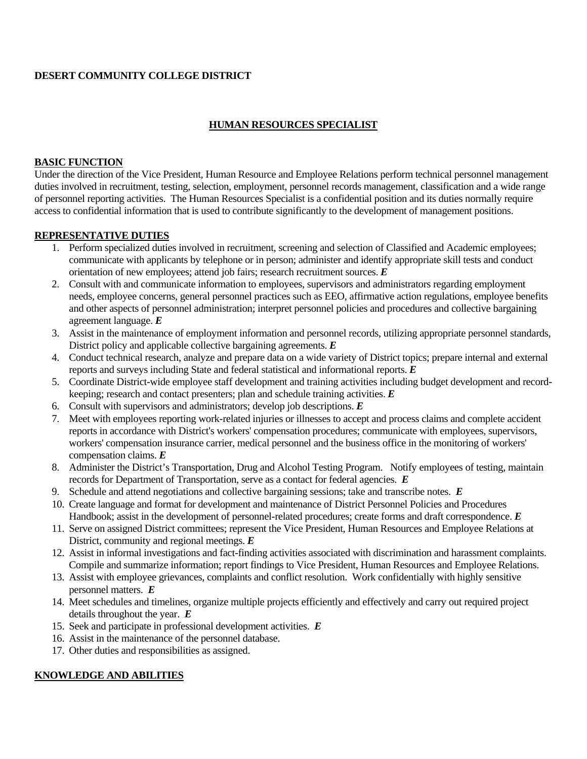### **DESERT COMMUNITY COLLEGE DISTRICT**

#### **HUMAN RESOURCES SPECIALIST**

#### **BASIC FUNCTION**

Under the direction of the Vice President, Human Resource and Employee Relations perform technical personnel management duties involved in recruitment, testing, selection, employment, personnel records management, classification and a wide range of personnel reporting activities. The Human Resources Specialist is a confidential position and its duties normally require access to confidential information that is used to contribute significantly to the development of management positions.

### **REPRESENTATIVE DUTIES**

- 1. Perform specialized duties involved in recruitment, screening and selection of Classified and Academic employees; communicate with applicants by telephone or in person; administer and identify appropriate skill tests and conduct orientation of new employees; attend job fairs; research recruitment sources. *E*
- 2. Consult with and communicate information to employees, supervisors and administrators regarding employment needs, employee concerns, general personnel practices such as EEO, affirmative action regulations, employee benefits and other aspects of personnel administration; interpret personnel policies and procedures and collective bargaining agreement language. *E*
- 3. Assist in the maintenance of employment information and personnel records, utilizing appropriate personnel standards, District policy and applicable collective bargaining agreements. *E*
- 4. Conduct technical research, analyze and prepare data on a wide variety of District topics; prepare internal and external reports and surveys including State and federal statistical and informational reports. *E*
- 5. Coordinate District-wide employee staff development and training activities including budget development and recordkeeping; research and contact presenters; plan and schedule training activities. *E*
- 6. Consult with supervisors and administrators; develop job descriptions. *E*
- 7. Meet with employees reporting work-related injuries or illnesses to accept and process claims and complete accident reports in accordance with District's workers' compensation procedures; communicate with employees, supervisors, workers' compensation insurance carrier, medical personnel and the business office in the monitoring of workers' compensation claims. *E*
- 8. Administer the District's Transportation, Drug and Alcohol Testing Program. Notify employees of testing, maintain records for Department of Transportation, serve as a contact for federal agencies. *E*
- 9. Schedule and attend negotiations and collective bargaining sessions; take and transcribe notes. *E*
- 10. Create language and format for development and maintenance of District Personnel Policies and Procedures Handbook; assist in the development of personnel-related procedures; create forms and draft correspondence. *E*
- 11. Serve on assigned District committees; represent the Vice President, Human Resources and Employee Relations at District, community and regional meetings. *E*
- 12. Assist in informal investigations and fact-finding activities associated with discrimination and harassment complaints. Compile and summarize information; report findings to Vice President, Human Resources and Employee Relations.
- 13. Assist with employee grievances, complaints and conflict resolution. Work confidentially with highly sensitive personnel matters. *E*
- 14. Meet schedules and timelines, organize multiple projects efficiently and effectively and carry out required project details throughout the year. *E*
- 15. Seek and participate in professional development activities. *E*
- 16. Assist in the maintenance of the personnel database.
- 17. Other duties and responsibilities as assigned.

### **KNOWLEDGE AND ABILITIES**